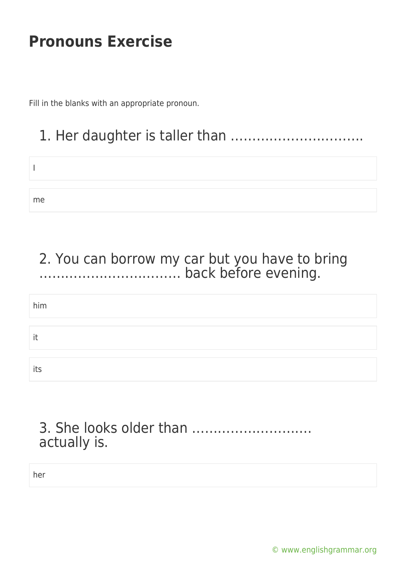Fill in the blanks with an appropriate pronoun.

# 1. Her daughter is taller than ………………………….

me

### 2. You can borrow my car but you have to bring …………………………… back before evening.

| him |  |  |
|-----|--|--|
| it  |  |  |
| its |  |  |

### 3. She looks older than ………………………. actually is.

her

[© www.englishgrammar.org](https://www.englishgrammar.org/)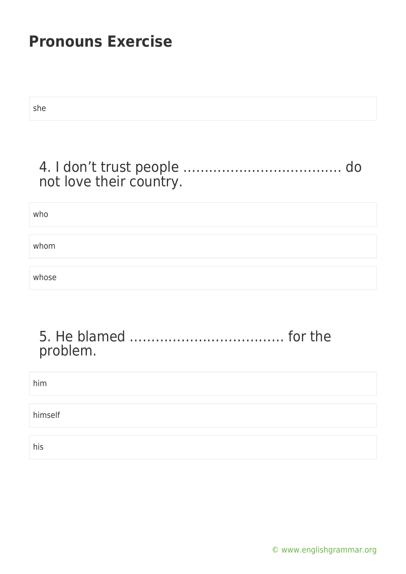she

### 4. I don't trust people ………………………………. do not love their country.

who

whom

whose

### 5. He blamed ……………………………… for the problem.

him himself his

[© www.englishgrammar.org](https://www.englishgrammar.org/)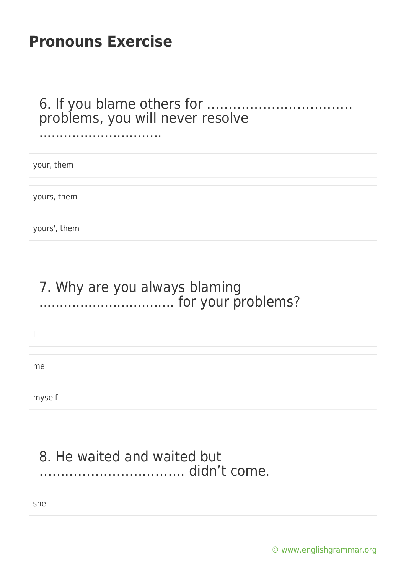..............................

### 6. If you blame others for ……………………………. problems, you will never resolve

| your, them   |  |  |
|--------------|--|--|
|              |  |  |
| yours, them  |  |  |
|              |  |  |
| yours', them |  |  |

### 7. Why are you always blaming ................................. for your problems?

I

me

myself

### 8. He waited and waited but ……………………………. didn't come.

she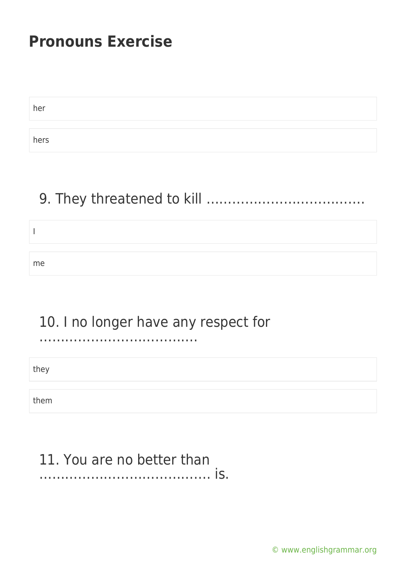| her  |  |
|------|--|
|      |  |
| hers |  |

### 9. They threatened to kill ……………………………….

| me |  |  |
|----|--|--|

### 10. I no longer have any respect for

……………………………….

they

them

#### 11. You are no better than …………………………………. is.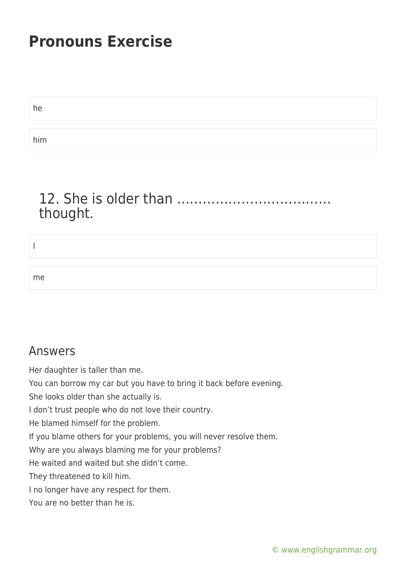he him

### 12. She is older than ……………………………… thought.

I me

#### Answers

Her daughter is taller than me.

You can borrow my car but you have to bring it back before evening.

She looks older than she actually is.

I don't trust people who do not love their country.

He blamed himself for the problem.

If you blame others for your problems, you will never resolve them.

Why are you always blaming me for your problems?

He waited and waited but she didn't come.

They threatened to kill him.

I no longer have any respect for them.

You are no better than he is.